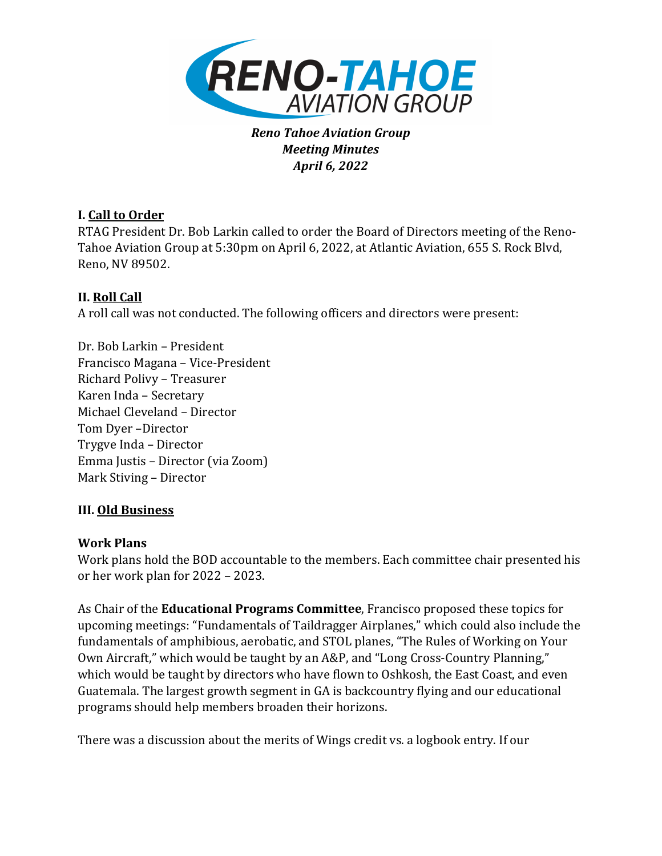

*Reno Tahoe Aviation Group Meeting Minutes April 6, 2022*

# **I. Call to Order**

RTAG President Dr. Bob Larkin called to order the Board of Directors meeting of the Reno-Tahoe Aviation Group at 5:30pm on April 6, 2022, at Atlantic Aviation, 655 S. Rock Blvd, Reno, NV 89502.

# **II.** Roll Call

A roll call was not conducted. The following officers and directors were present:

Dr. Bob Larkin – President Francisco Magana – Vice-President Richard Polivy – Treasurer Karen Inda - Secretary Michael Cleveland – Director Tom Dyer -Director Trygve Inda – Director Emma Justis – Director (via Zoom) Mark Stiving - Director

#### **III. Old Business**

#### **Work Plans**

Work plans hold the BOD accountable to the members. Each committee chair presented his or her work plan for 2022 - 2023.

As Chair of the **Educational Programs Committee**, Francisco proposed these topics for upcoming meetings: "Fundamentals of Taildragger Airplanes," which could also include the fundamentals of amphibious, aerobatic, and STOL planes, "The Rules of Working on Your Own Aircraft," which would be taught by an A&P, and "Long Cross-Country Planning," which would be taught by directors who have flown to Oshkosh, the East Coast, and even Guatemala. The largest growth segment in GA is backcountry flying and our educational programs should help members broaden their horizons.

There was a discussion about the merits of Wings credit vs. a logbook entry. If our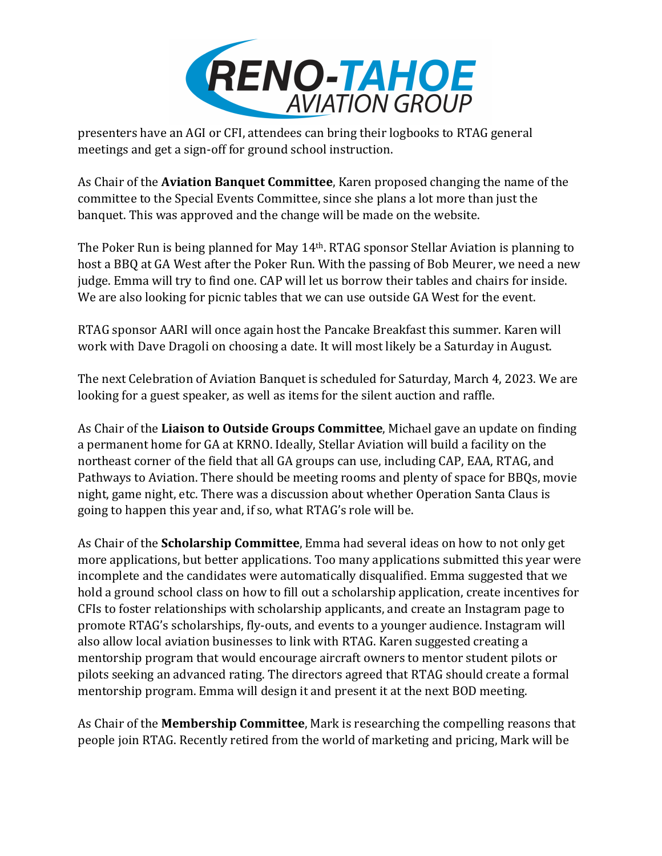

presenters have an AGI or CFI, attendees can bring their logbooks to RTAG general meetings and get a sign-off for ground school instruction.

As Chair of the **Aviation Banquet Committee**, Karen proposed changing the name of the committee to the Special Events Committee, since she plans a lot more than just the banquet. This was approved and the change will be made on the website.

The Poker Run is being planned for May  $14<sup>th</sup>$ . RTAG sponsor Stellar Aviation is planning to host a BBQ at GA West after the Poker Run. With the passing of Bob Meurer, we need a new judge. Emma will try to find one. CAP will let us borrow their tables and chairs for inside. We are also looking for picnic tables that we can use outside GA West for the event.

RTAG sponsor AARI will once again host the Pancake Breakfast this summer. Karen will work with Dave Dragoli on choosing a date. It will most likely be a Saturday in August.

The next Celebration of Aviation Banquet is scheduled for Saturday, March 4, 2023. We are looking for a guest speaker, as well as items for the silent auction and raffle.

As Chair of the Liaison to Outside Groups Committee, Michael gave an update on finding a permanent home for GA at KRNO. Ideally, Stellar Aviation will build a facility on the northeast corner of the field that all GA groups can use, including CAP, EAA, RTAG, and Pathways to Aviation. There should be meeting rooms and plenty of space for BBQs, movie night, game night, etc. There was a discussion about whether Operation Santa Claus is going to happen this year and, if so, what RTAG's role will be.

As Chair of the **Scholarship Committee**, Emma had several ideas on how to not only get more applications, but better applications. Too many applications submitted this year were incomplete and the candidates were automatically disqualified. Emma suggested that we hold a ground school class on how to fill out a scholarship application, create incentives for CFIs to foster relationships with scholarship applicants, and create an Instagram page to promote RTAG's scholarships, fly-outs, and events to a younger audience. Instagram will also allow local aviation businesses to link with RTAG. Karen suggested creating a mentorship program that would encourage aircraft owners to mentor student pilots or pilots seeking an advanced rating. The directors agreed that RTAG should create a formal mentorship program. Emma will design it and present it at the next BOD meeting.

As Chair of the **Membership Committee**, Mark is researching the compelling reasons that people join RTAG. Recently retired from the world of marketing and pricing, Mark will be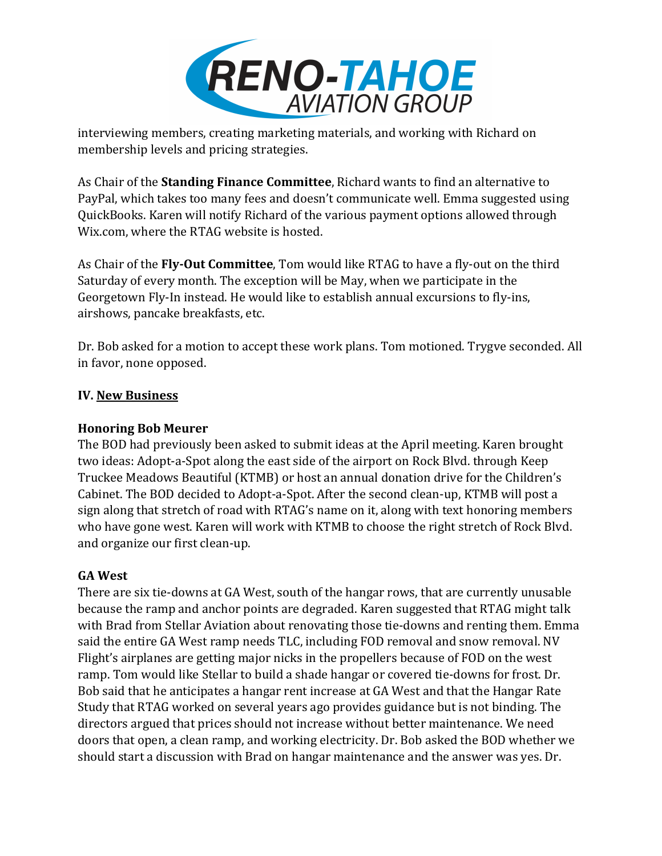

interviewing members, creating marketing materials, and working with Richard on membership levels and pricing strategies.

As Chair of the **Standing Finance Committee**, Richard wants to find an alternative to PayPal, which takes too many fees and doesn't communicate well. Emma suggested using QuickBooks. Karen will notify Richard of the various payment options allowed through Wix.com, where the RTAG website is hosted.

As Chair of the Fly-Out Committee, Tom would like RTAG to have a fly-out on the third Saturday of every month. The exception will be May, when we participate in the Georgetown Fly-In instead. He would like to establish annual excursions to fly-ins, airshows, pancake breakfasts, etc.

Dr. Bob asked for a motion to accept these work plans. Tom motioned. Trygve seconded. All in favor, none opposed.

# **IV. New Business**

#### **Honoring Bob Meurer**

The BOD had previously been asked to submit ideas at the April meeting. Karen brought two ideas: Adopt-a-Spot along the east side of the airport on Rock Blvd. through Keep Truckee Meadows Beautiful (KTMB) or host an annual donation drive for the Children's Cabinet. The BOD decided to Adopt-a-Spot. After the second clean-up, KTMB will post a sign along that stretch of road with RTAG's name on it, along with text honoring members who have gone west. Karen will work with KTMB to choose the right stretch of Rock Blvd. and organize our first clean-up.

# **GA West**

There are six tie-downs at GA West, south of the hangar rows, that are currently unusable because the ramp and anchor points are degraded. Karen suggested that RTAG might talk with Brad from Stellar Aviation about renovating those tie-downs and renting them. Emma said the entire GA West ramp needs TLC, including FOD removal and snow removal. NV Flight's airplanes are getting major nicks in the propellers because of FOD on the west ramp. Tom would like Stellar to build a shade hangar or covered tie-downs for frost. Dr. Bob said that he anticipates a hangar rent increase at GA West and that the Hangar Rate Study that RTAG worked on several years ago provides guidance but is not binding. The directors argued that prices should not increase without better maintenance. We need doors that open, a clean ramp, and working electricity. Dr. Bob asked the BOD whether we should start a discussion with Brad on hangar maintenance and the answer was yes. Dr.